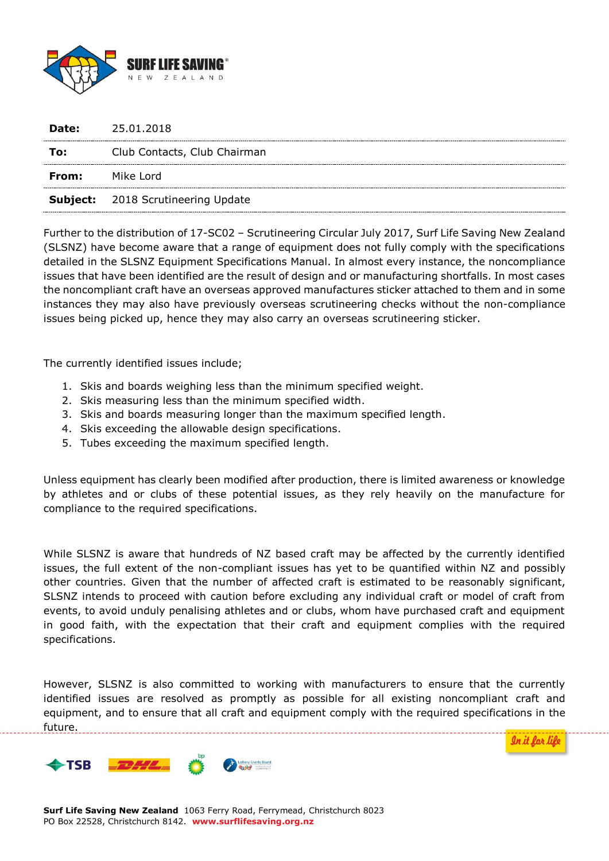

| Date: | 25.01.2018                                |
|-------|-------------------------------------------|
| To:   | Club Contacts, Club Chairman              |
| From: | Mike Lord                                 |
|       | <b>Subject:</b> 2018 Scrutineering Update |

Further to the distribution of 17-SC02 – Scrutineering Circular July 2017, Surf Life Saving New Zealand (SLSNZ) have become aware that a range of equipment does not fully comply with the specifications detailed in the SLSNZ Equipment Specifications Manual. In almost every instance, the noncompliance issues that have been identified are the result of design and or manufacturing shortfalls. In most cases the noncompliant craft have an overseas approved manufactures sticker attached to them and in some instances they may also have previously overseas scrutineering checks without the non-compliance issues being picked up, hence they may also carry an overseas scrutineering sticker.

The currently identified issues include;

- 1. Skis and boards weighing less than the minimum specified weight.
- 2. Skis measuring less than the minimum specified width.
- 3. Skis and boards measuring longer than the maximum specified length.
- 4. Skis exceeding the allowable design specifications.
- 5. Tubes exceeding the maximum specified length.

Unless equipment has clearly been modified after production, there is limited awareness or knowledge by athletes and or clubs of these potential issues, as they rely heavily on the manufacture for compliance to the required specifications.

While SLSNZ is aware that hundreds of NZ based craft may be affected by the currently identified issues, the full extent of the non-compliant issues has yet to be quantified within NZ and possibly other countries. Given that the number of affected craft is estimated to be reasonably significant, SLSNZ intends to proceed with caution before excluding any individual craft or model of craft from events, to avoid unduly penalising athletes and or clubs, whom have purchased craft and equipment in good faith, with the expectation that their craft and equipment complies with the required specifications.

However, SLSNZ is also committed to working with manufacturers to ensure that the currently identified issues are resolved as promptly as possible for all existing noncompliant craft and equipment, and to ensure that all craft and equipment comply with the required specifications in the future.

<u>In it lor li</u>